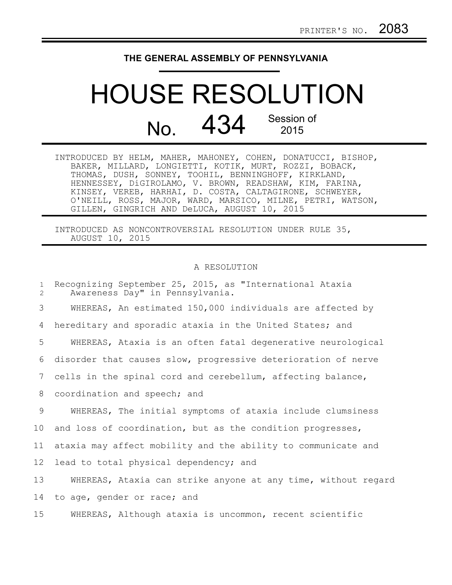## **THE GENERAL ASSEMBLY OF PENNSYLVANIA**

## HOUSE RESOLUTION No. 434 Session of 2015

| INTRODUCED BY HELM, MAHER, MAHONEY, COHEN, DONATUCCI, BISHOP, |  |  |
|---------------------------------------------------------------|--|--|
| BAKER, MILLARD, LONGIETTI, KOTIK, MURT, ROZZI, BOBACK,        |  |  |
| THOMAS, DUSH, SONNEY, TOOHIL, BENNINGHOFF, KIRKLAND,          |  |  |
| HENNESSEY, DiGIROLAMO, V. BROWN, READSHAW, KIM, FARINA,       |  |  |
| KINSEY, VEREB, HARHAI, D. COSTA, CALTAGIRONE, SCHWEYER,       |  |  |
| O'NEILL, ROSS, MAJOR, WARD, MARSICO, MILNE, PETRI, WATSON,    |  |  |
| GILLEN, GINGRICH AND DeLUCA, AUGUST 10, 2015                  |  |  |

INTRODUCED AS NONCONTROVERSIAL RESOLUTION UNDER RULE 35, AUGUST 10, 2015

## A RESOLUTION

| $\mathbf{1}$<br>2 | Recognizing September 25, 2015, as "International Ataxia<br>Awareness Day" in Pennsylvania. |
|-------------------|---------------------------------------------------------------------------------------------|
| 3                 | WHEREAS, An estimated 150,000 individuals are affected by                                   |
| 4                 | hereditary and sporadic ataxia in the United States; and                                    |
| 5                 | WHEREAS, Ataxia is an often fatal degenerative neurological                                 |
| 6                 | disorder that causes slow, progressive deterioration of nerve                               |
| 7                 | cells in the spinal cord and cerebellum, affecting balance,                                 |
| 8                 | coordination and speech; and                                                                |
| 9                 | WHEREAS, The initial symptoms of ataxia include clumsiness                                  |
| 10 <sub>o</sub>   | and loss of coordination, but as the condition progresses,                                  |
| 11                | ataxia may affect mobility and the ability to communicate and                               |
| 12 <sup>°</sup>   | lead to total physical dependency; and                                                      |
| 13                | WHEREAS, Ataxia can strike anyone at any time, without regard                               |
| 14                | to age, gender or race; and                                                                 |
| 15                | WHEREAS, Although ataxia is uncommon, recent scientific                                     |